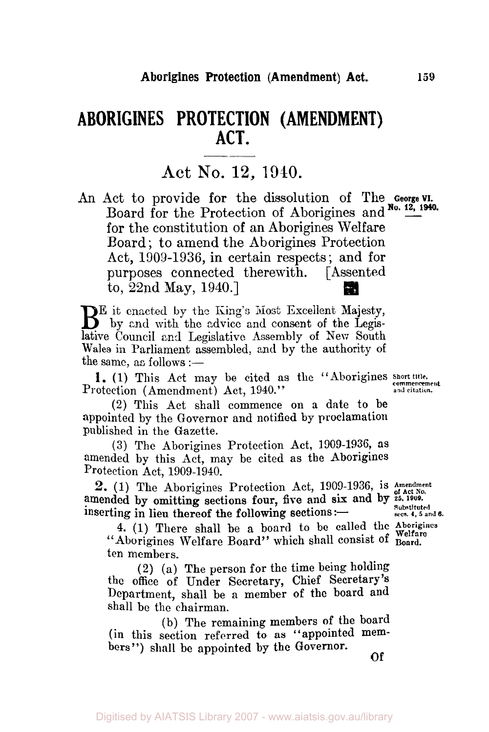# **ABORIGINES PROTECTION (AMENDMENT) ACT.**

## **Act** No. **12, 1940.**

An Act to provide for the dissolution of The **George VI.**  Board for the Protection of Aborigines and No. 12, 1940. for the constitution of an Aborigines Welfare Board ; to amend the Aborigines Protection Act, 1909-1936, in certain respects; and for purposes connected therewith. [Assented to, 22nd May, 1940.]

BE it enacted by the King's Most Excellent Majesty, by and with the advice and consent of the Legislative Council and Legislative Assembly of New South Wales in Parliament assembled, and by the authority of the same, as follows  $:=$ 

**1.** (1) This Act may be cited as the "Aborigines *Short title*, contract control of *Amendment* Act. 1940." Protection (Amendment) Act, 1940."

**(2)** This Act shall commence on a date to be appointed by the Governor and notified by proclamation published in the Gazette.

**(3)** The Aborigines Protection Act, 1909-1936, as amended by this Act, may be cited as the Aborigines Protection Act, 1909-1940.

amended by omitting sections four, five and six and by  $25,1909$ . 2. (1) The Aborigines Protection Act, 1909-1936, is Amendment inserting in lieu thereof the following sections :- **Substituted** secs. 4, 5 and 8.

**4.** (1) There shall be a board to be called the Aborigines "Aborigines Welfare Board" which shall consist of Board. ten members.

**(2)** (a) The person for the time being holding the office of Under Secretary, Chief Secretary's Department, shall be a member of the board and shall be the chairman.

(b) The remaining members of the board (in this section referred to as "appointed members") shall be appointed by the Governor.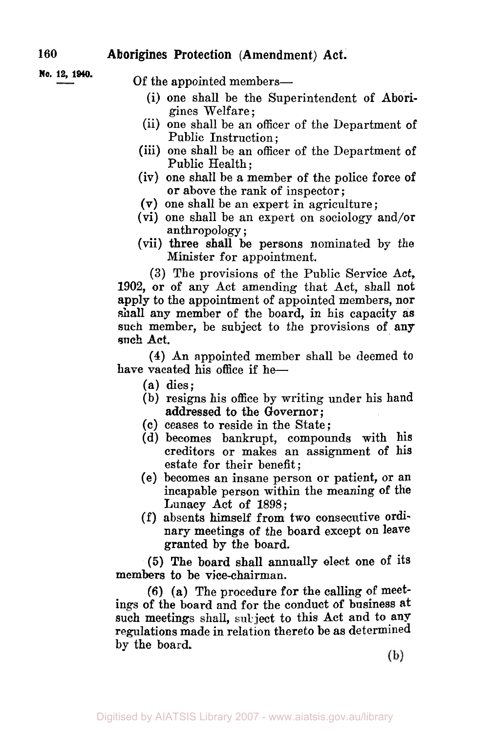## **160 Aborigines Protection (Amendment) Act.**

**No. 12, 1940.** Of the appointed members—

- (i) one shall be the Superintendent **of** Aborigines Welfare ;
- (ii) one shall be an officer of the Department **of**  Public Instruction ;
- (iii) one shall be an officer of the Department of Public Health ;
- (iv) one shall be a member of the police force **of or** above the rank of inspector ;
- **(V)** one shall be an expert in agriculture;
- (vi) one shall be an expert on sociology and/or anthropology ;
- (vii) three shall be persons nominated by the Minister for appointment.

**(3)** The provisions of the Public Service Act, 1902, or of any Act amending that Act, shall not **apply** to the appointment of appointed members, **nor**  shall any member of the board, in his capacity as such member, be subject to the provisions of any such **Act.** 

**(4)** An appointed member shall be deemed to have vacated his office if he-

- **(a)** dies;
- (b) resigns his office by writing under his hand addressed to the Governor;
- **(c)** ceases to reside in the State;
- (d) becomes bankrupt, compounds with his creditors or makes an assignment of his estate for their benefit ;
- (e) becomes an insane person or patient, **or** an incapable person within the meaning **of** the Lunacy Act **of** 1898;
- (f) absents himself from two consecutive **ordi**nary meetings **of** the board except **on** leave granted by the board.

*(5)* The board shall annually elect one **of** its members **to** be vice-chairman.

**(6)** (a) The procedure for the calling **of** meetings **of** the board and for the conduct **of** business **at**  such meetings shall, subject to this Act and to any regulations made in relation thereto be as determined by the board.

(b)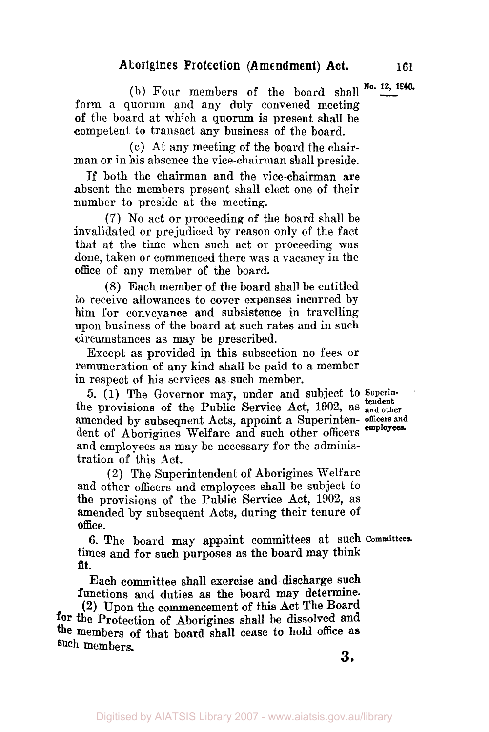$(b)$  Four members of the board shall  $No. 12, 1940$ . form a quorum and any duly convened meeting of the board at which a quorum is present shall be competent to transact any business of the board.

(c) At any meeting of the board the chairman or in his absence the vice-chairman shall preside.

If both the chairman and the vice-chairman are absent the members present shall elect one of their number to preside at the meeting.

(7) No act **or** proceeding of the board shall be invalidated or prejudiced by reason only of the fact that at the time when such act or proceeding was done, taken or commenced there was a vacancy in the office of any member of the board.

(8) Each member of the board shall be entitled *to* receive allowances to cover expenses incurred by him for conveyance and subsistence in travelling upon business of the board at such rates and in such circumstances as may be prescribed.

Except as provided in this subsection no fees or remuneration of any kind shall be paid to a member in respect of his services as such member.

**5.** (1) The Governor may, under and subject to **Superin**amended by subsequent Acts, appoint a Superinten- **officers and**  dent of Aborigines Welfare and such other officers **employees.**  and employees as may be necessary for the administration of this Act. **tendent**  the provisions of the Public Service Act, **1902,** as **and other** 

(2) The Superintendent of Aborigines Welfare and other officers and employees shall be subject to the provisions of the Public Service Act, **1902,** as amended by subsequent Acts, during their tenure of office.

times and for such purposes as the board may think **fit.**  6. The board may appoint committees at such **Committees.** 

Each committee shall exercise and discharge such functions and duties **as** the board may determine.

**(2)** Upon the commencement of this Act The Board for the Protection of Aborigines shall be dissolved and **the** members of that board shall cease to hold office **as such** members.

**3.**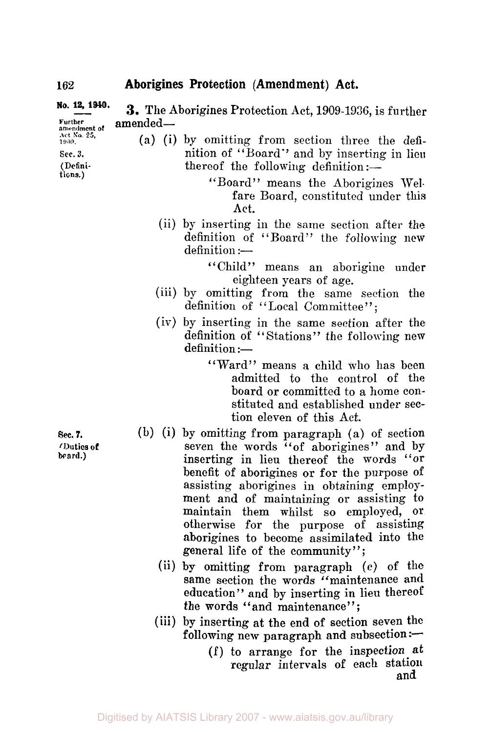#### No. 12, 1940. Further amended-**3.** The Aborigines Protection Act, 1909-1936, is further

**Act No. 25,**  *1909.* 

- *Sec.* **3.**
- **(Defini-**
- **tions.)**
- (a) (i) by omitting from section three the definition of "Board" and by inserting in lieu thereof the following definition :-
	- "Board" means the Aborigines Welfare Board, constituted under this Act.
	- (ii) by inserting in the same section after the definition of "Board" the following new  $definition :=$

"Child" means an aborigine under eighteen years of age.

- (iii) by omitting from the same section the definition of "Local Committee":
- (iv) by inserting in the same section after the definition of "Stations" the following new definition :-
	- "Ward" means a child who has been admitted to the control of the board or committed to a home constituted and established under section eleven of this Act.
- (b) (i) by omitting from paragraph (a) of section seven the words "of aborigines" and by inserting in lieu thereof the words **"or**  benefit of aborigines or for the purpose of assisting aborigines in obtaining employment and of maintaining or assisting to maintain them whilst so employed, **or**  otherwise for the purpose of assisting aborigines to become assimilated into the general life of the community";
	- (ii) by omitting from paragraph (c) of the same section the words "maintenance and education" and by inserting in lieu thereof the words "and maintenance";
	- (iii) by inserting at the end of section seven the following new paragraph and subsection : $-$ 
		- (f) to arrange for the inspection at regular intervals of each station and

**sec.** *7.*  (Duties *ut*  **board.)**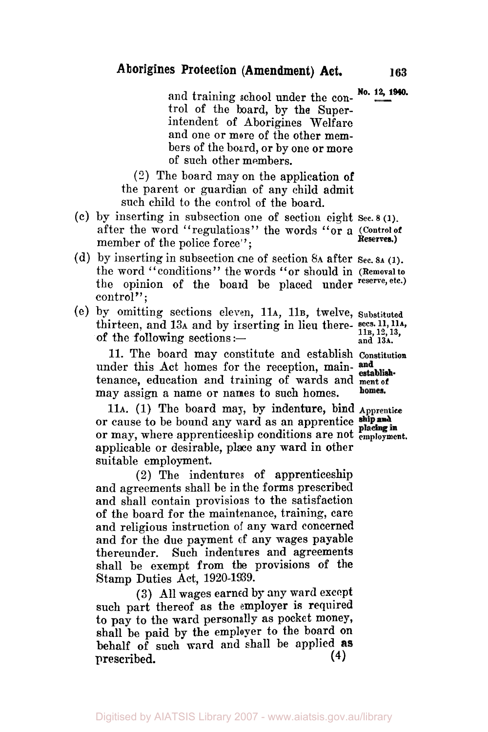and training school under the con- No. 12, 1940. trol of the board, by the Superintendent of Aborigines Welfare and one or more of the other members of the board, or by one or more of such other members.

(2) The board may on the application **of**  the parent or guardian of any child admit such child to the control of the board.

- (c) by inserting in subsection one of section eight sec. B **(i).**  after the word "regulations" the words *"or* **a (Control of**  member of the police force": **Reserves.)**
- (d) by inserting in subsection one of section **8A** after **Sec. BA (1).**  the word "conditions" the words "or should in **(Removalto**  the opinion of the board be placed under **reserve, etc.)**  control";
- (e) by omitting sections eleven, 11A, 11B, twelve, **Substituted**  thirteen, and 13A and by inserting in lieu there- secs. 11, 11A, of the following sections:  $\frac{11B, 12, 13}{11B, 12, 13}$  and 13A. of the following sections :-

11. The board may constitute and establish **Constitution**  under this Act homes for the reception, main-and tenance, education and training of wards and **ment of may** assign a name or names to such homes. may assign a name or names to such homes.

11A. (1) The board may, by indenture, bind **Apprentice**  or cause to be bound any ward as an apprentice ship and or may, where apprenticeship conditions are not **employment.**  applicable or desirable, place any ward in other suitable employment.

**(2)** The indentures of apprenticeship and agreements shall be in the forms prescribed and shall contain provisions to the satisfaction of the board for the maintenance, training, care and religious instruction of any ward concerned and for the due payment of any wages payable thereunder. Such indentures and agreements shall be exempt from the provisions of the Stamp Duties Act, 1920-1939.

(3) All wages earned **by** any ward except such part thereof as the employer is required to pay to the ward personally as pocket money, shall be paid by the employer to the board **on**  behalf  $\sigma$ <sup>f</sup> such ward and shall be applied as prescribed. **(4)** 

Digitised by AIATSIS Library 2007 - www.aiatsis.gov.au/library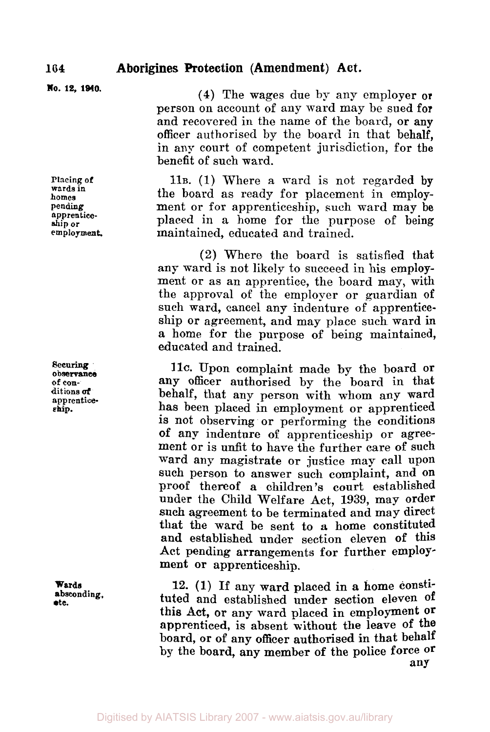**No. 12, 1940.** 

**Placing of wards in homes pending. apprenticeship or employment.** 

*Securing*  **observance of con- ditions** *of*  **apprentice ship.** 

**Wards absconding., etc.** 

**(4)** The wages due by any employer **or**  person on account of any ward may be sued for and recovered in the name of the board, or any officer authorised by the board in that behalf, in any court of competent jurisdiction, for the benefit of such ward.

**11B. (1)** Where a ward is not regarded by the board as ready for placement in employment or for apprenticeship, such ward may **be**  placed in a home for the purpose of being maintained, educated and trained.

(2) Where the board is satisfied that any ward is not likely to succeed in his employment or as an apprentice, the board may, with the approval of the employer or guardian **of**  such ward, cancel any indenture of apprenticeship or agreement, and may place such ward in a home for the purpose of being maintained, educated and trained.

11C. Upon complaint made **by** the board **or**  any officer authorised by the board in that behalf, that any person with whom any ward has been placed in employment or apprenticed is not observing or performing the conditions of any indenture of apprenticeship or agreement or is unfit to have the further care **of** such ward any magistrate or justice may call upon such person to answer such complaint, and **on**  proof thereof a children's court established under the Child Welfare Act, **1939,** may order **such** agreement to be terminated and may direct that the ward be sent to **a** home constituted and established under section eleven **of** this Act pending arrangements for further employment **or** apprenticeship.

**12. (1)** If any ward placed in a home constituted and established under section eleven **of this Act,** or any ward placed in employment **Or**  apprenticed, is absent without the leave of the board, **or** of any officer authorised in that behalf by the board, any member **of** the police force **or**  any

**164**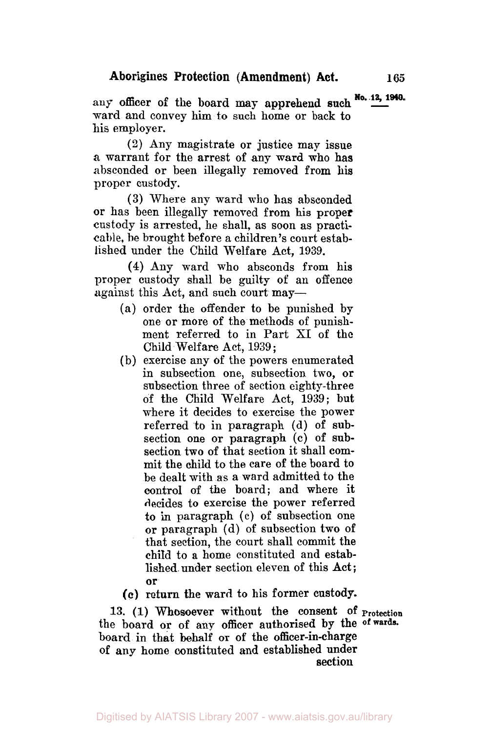**No. 12, 1940. any** officer *of* the board **may** apprehend such ward and convey him to such home or back to his employer.

**(2)** Any magistrate or justice may issue a warrant for the arrest of any ward who has absconded or been illegally removed from his proper custody.

(3) Where any ward who has absconded or has been illegally removed from his proper custody is arrested, he shall, as soon as practicable, be brought before a children's court established under the Child Welfare Act, 1939.

**(4)** Any ward who absconds from his proper custody shall be guilty of an offence against this Act, and such court may-

- (a) order the offender to be punished by one or more **of** the methods of punishment referred to in Part XI of the Child Welfare Act, 1939 ;
- (b) exercise any **of** the powers enumerated in subsection one, subsection two, or subsection three of section eighty-three of the Child Welfare Act, **1939;** but where it decides to exercise the power referred to in paragraph (d) of subsection one **or** paragraph (c) of subsection two of that section it shall **com**mit the child to the care of the board to be dealt with as a ward admitted to the control **of** the board; and where it decides to exercise the power referred *to* in paragraph **(c)** of subsection one or paragraph (d) of subsection two **of**  that section, the court shall commit the child to a home constituted and established under section eleven of this Act; **or**

**(c)** return **the** ward to his former custody.

**13. (1) Whosoever** without the consent **of Protection**  the board or of any officer authorised by the **of wards.**  board in that behalf or of the officer-in-charge of any home constituted and established under section

Digitised by AIATSIS Library 2007 - www.aiatsis.gov.au/library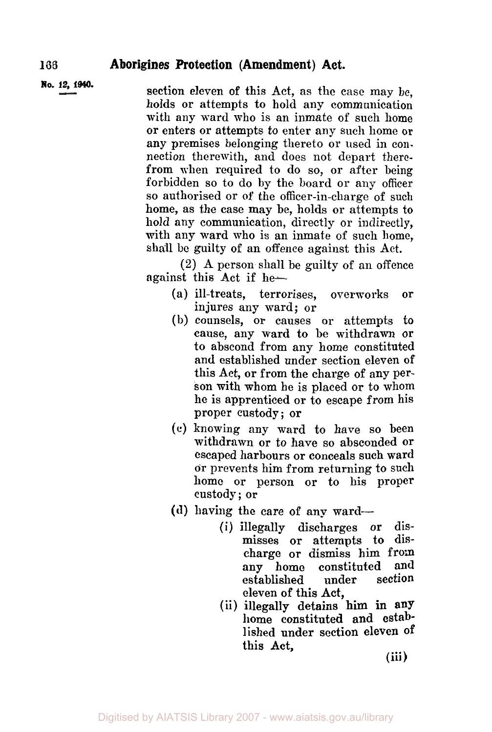### **166 Aborigines Protection (Amendment) Act.**

**No. 12, 1940.** section eleven of this Act, as the case may be, holds or attempts to hold any communication with any ward who is an inmate of such home or enters or attempts to enter any such home **or**  any premises belonging thereto or used in con. nection therewith, and does not depart therefrom when required to do so, **or** after being forbidden so to do by the board or any officer so authorised or of the officer-in-charge of such home, as the case may be, holds or attempts to hold any communication, directly or indirectly, with any ward who is an inmate of such home, shall be guilty **of** an offence against this Act.

> **(2)** A person shall be guilty of an offence against this Act if he-

- (a) ill-treats, terrorises, overworks or injures any ward; or
- (b) counsels, or causes or attempts to cause, any ward to be withdrawn **or**  to abscond from any home constituted and established under section eleven **of**  this Act, **or** from the charge of any person with whom he is placed or to whom he is apprenticed **or** to escape from his proper custody; or
- *(c)* **knowing** any ward to have so been withdrawn or to have so absconded or escaped harbours or conceals such ward **or** prevents him from returning to such home **or** person or to his proper custody; or
- **(d)** having the care of any ward-
	- **(i)** illegally discharges or dismisses or attempts to discharge or dismiss him from any home constituted and<br>established under section established eleven of this Act,
	- (ii) illegally detains **him** in any home constituted and established under section eleven **of**  this Act,

**(iii)**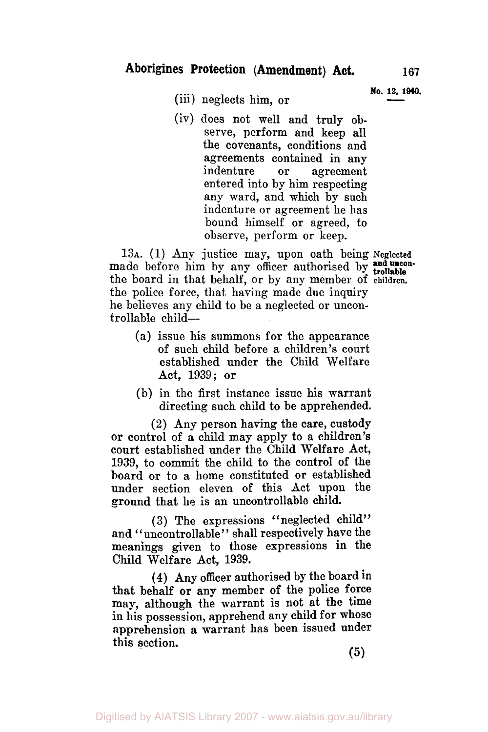**No. 12, 1940.** (iii) neglects him, or

(iv) does not well and truly observe, perform and keep all the covenants, conditions and agreements contained in any indenture or agreement entered into by him respecting any ward, and which by such indenture or agreement he has bound himself or agreed, to observe, perform or keep.

**13A.** (1) Any justice may, upon oath being **Neglected**  made before him by any officer authorised by **trollable** the board in that behalf, or by any member of **children.**  the police force, that having made due inquiry he believes any child to be a neglected or uncontrollable child-

- **(a)** issue his summons for the appearance of such child before a children's court established under the Child Welfare Act, **1939;** or
- (b) in the first instance issue his warrant directing such child to be apprehended.

(2) Any person having the care, custody **or** control of a child may apply to a children's court established under the Child Welfare Act, **1939,** to commit the child to the control of the board or to a home constituted or established under section eleven of this Act upon the ground that he is an uncontrollable child.

**(3)** The expressions "neglected child" and "uncontrollable" shall respectively have the meanings given to those expressions in the Child Welfare Act, **1939.** 

**(4)** Any officer authorised by the board in that behalf **or** any member of the police force **may,** although the warrant is not at the time in his possession, apprehend any child for whose apprehension a warrant has been issued under this section.

*(5)*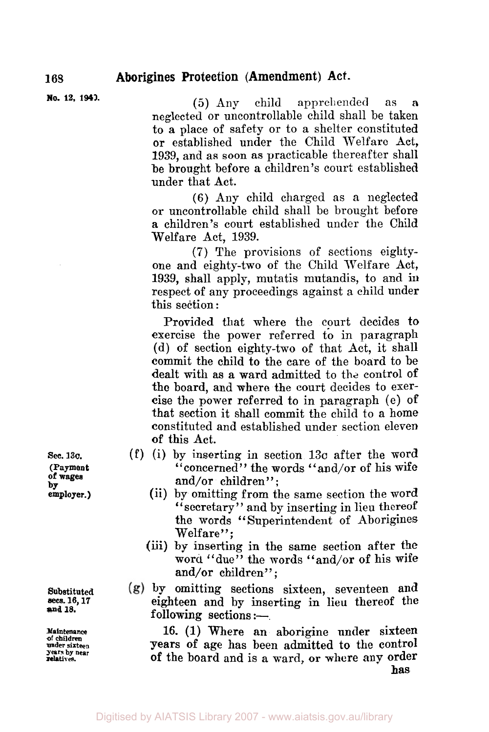**No. 12, 1940.** 

*(5)* Any child apprehended as a neglected or uncontrollable child shall be taken to a place of safety or to a shelter constituted or established under the Child Welfare Act, 1939, and as soon as practicable thereafter shall be brought before a children's court established under that Act.

(6) Any child charged as a neglected or uncontrollable child shall be brought before a children's court established under the Child Welfare Act, **1939.** 

**(7)** The provisions of sections eightyone and eighty-two of the Child Welfare Act, **1939,** shall apply, mutatis mutandis, to and in respect of any proceedings against a child under this section :

Provided that where the court decides **to**  exercise the power referred **to** in paragraph (d) of section eighty-two of that Act, it shall commit the child to the care of the board to be dealt with **as** a ward admitted to the control of **the** board, and where the court decides to exercise the power referred to in paragraph (e) of that section it shall commit the child to a home constituted and established under section eleven **of** this Act.

- **(f)** (i) by inserting in section **13c** after the word "concerned" the words "and/or **of** his wife and/or children":
	- (ii) by omitting from the same section the word "secretary" and by inserting in lieu thereof the **words** " Superintendent of Aborigines the words "Superintendent of Aborigines Welfare":
	- (iii) by inserting in the same section after the word "due" the words "and/or of his wife and/or children";
- **by** omitting sections sixteen, seventeen and eighteen **and** by inserting in lieu thereof the following sections  $:$ -

16. **(1)** Where an aborigine under sixteen **years** of age has been admitted **to** the control of the board and is a ward, or where any order **has** 

**Sec. 13C. (Payment of wages by employer.)** 

**Substituted secs. 16, 17 and 18.** 

**Maintenance of children under sixteen years by near relatives.**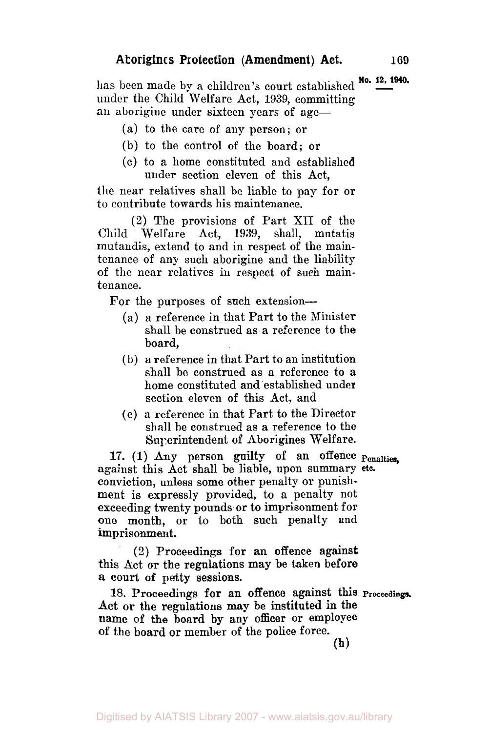has been made by a children's court established **No. 12, 1940.**  under the Child Welfare Act, 1939, committing an aborigine under sixteen years of age-

- (a) to the care of any person; or
- (b) to the control of the board; or
- (c) to a home constituted and establislied under section eleven of this Act,

the near relatives shall be liable to pay for or *to* contribute towards his maintenance.

**(2)** The provisions of Part XII of the Child Welfare Act, 1939, shall, mutatis mutandis, extend to and in respect of the maintenance of any such aborigine and the liability of the near relatives in respect of such maintenance.

For the purposes of such extension---

- (a) a reference in that Part to the Minister shall be construed as a reference to the board,
- (b) a reference in that Part to an institution shall be construed as a reference to **a**  home constituted and established under section eleven of this Act, and
- *(c)* **a** reference in that Part to the Director shall he construed as a reference to the Superintendent of Aborigines Welfare.

17. (1) Any person guilty of an offence **penalties**  against this Act shall be liable, upon summary **etc.**  conviction, unless some other penalty or punishment is expressly provided, to a penalty not exceeding twenty pounds or to imprisonment for one month, or to both such penalty and imprisonment.

(2) Proceedings for an offence against this Act **or** the regulations may be taken before **a** court of petty sessions.

Act or the regulations may be instituted in the name of the board by any officer or employee 18. Proceedings **for** an offence against this **Proceedings. of** the board or member of-the **police** force.

**(h)** 

Digitised by AIATSIS Library 2007 - www.aiatsis.gov.au/library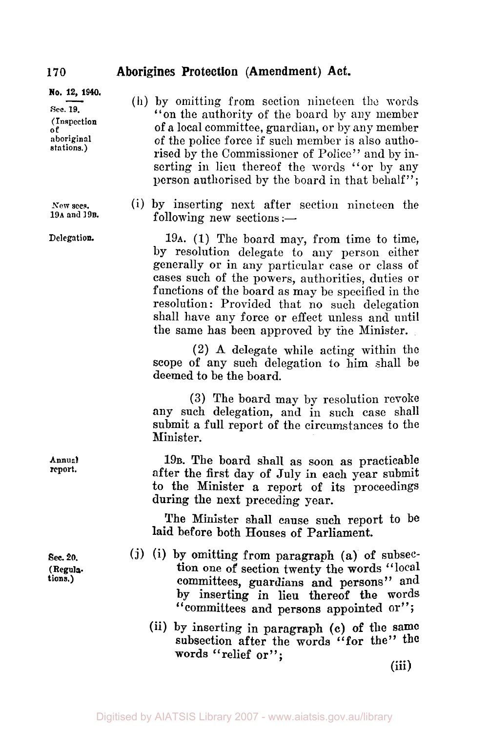### **Aborigines Protection (Amendment) Act.**

**No. 12, 1940. sec. 19. (Inspection**   $\overline{\textbf{0}}$   $\textbf{f}$ **aboriginal stations.)** 

**New secs. 19A and** 19B.

**Delegation.** 

**Annual report.** 

**Sec. 20. (Regula. tions.)** 

- (h) by omitting from section nineteen the words "on the authority of the board by any member of a local committee, guardian, or by any member **of** the police force if such member is also authorised by the Commissioner of Police'' and by inserting in lieu thereof the words "or by any person authorised by the board in that behalf";
- (i) by inserting next after section nineteen the following new sections  $:=$

**19A.** (1) The board may, from time to time, by resolution delegate to any person either generally or in any particular case or class of cases such of the powers, authorities, duties or functions of the board as may be specified in the resolution: Provided that no such delegation shall have any force or effect unless and until the same has been approved by tne Minister.

**(2) A** delegate while acting within the scope of any such delegation to him shall be deemed to be the board.

**(3)** The board may by resolution revoke any such delegation, and in such case shall submit a full report of the circumstances to the Minister.

**19B.** The board shall as soon as practicable after the first day of July in each year submit to the Minister **a** report of its proceedings during the next preceding year.

The Minister shall cause such report to be laid before both Houses of Parliament.

- *(j)* (i) by omitting from paragraph **(a) of** subsection one of section twenty the words "local committees, guardians and persons" and by inserting in lieu thereof the words by inserting in lieu thereof the words<br>"committees and persons appointed or";
	- (ii) by inserting in paragraph **(c)** of the **same**  subsection after the words "for the" the **words** "relief **or";**

(iii)

170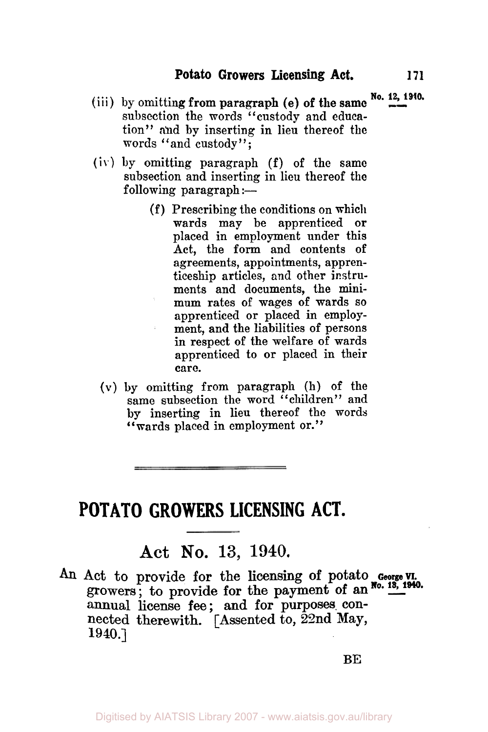- (iii) by omitting from paragraph (e) of the same  $\frac{N_0$ , 12, 1940. subsection the words "custody and education" and by inserting in lieu thereof the words "and custody";
- (iv) by omitting paragraph (f) of the same subsection and inserting in lieu thereof the following paragraph : $-$ 
	- (f) Prescribing the conditions on which wards may be apprenticed **or**  placed in employment under this **Act,** the **form** and contents of agreements, appointments, apprenticeship articles, and other instruments and documents, the minimum rates of wages **of** wards so apprenticed or placed in employment, and the liabilities of persons in respect of **the** welfare of wards apprenticed to **or** placed in their care.
	- **(V) by** omitting from paragraph (h) of the same subsection the word "children" and **by** inserting in lieu thereof the words "wards placed in employment or."

the property and the property of the control of the con-